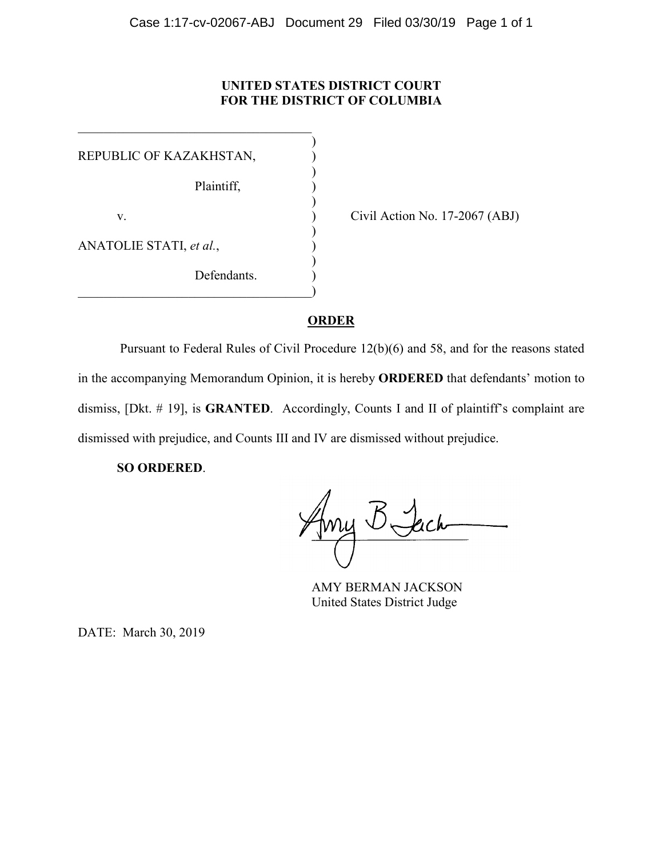# **UNITED STATES DISTRICT COURT FOR THE DISTRICT OF COLUMBIA**

| REPUBLIC OF KAZAKHSTAN, |  |
|-------------------------|--|
| Plaintiff,              |  |
| V.                      |  |
| ANATOLIE STATI, et al., |  |
| Defendants.             |  |

 $\overline{\mathcal{L}}$  , and the state of the state of the state of the state of the state of the state of the state of the state of the state of the state of the state of the state of the state of the state of the state of the stat

Civil Action No.  $17-2067$  (ABJ)

# **ORDER**

Pursuant to Federal Rules of Civil Procedure 12(b)(6) and 58, and for the reasons stated in the accompanying Memorandum Opinion, it is hereby **ORDERED** that defendants' motion to dismiss, [Dkt. # 19], is **GRANTED**. Accordingly, Counts I and II of plaintiff's complaint are dismissed with prejudice, and Counts III and IV are dismissed without prejudice.

**SO ORDERED**.

AMY BERMAN JACKSON United States District Judge

DATE: March 30, 2019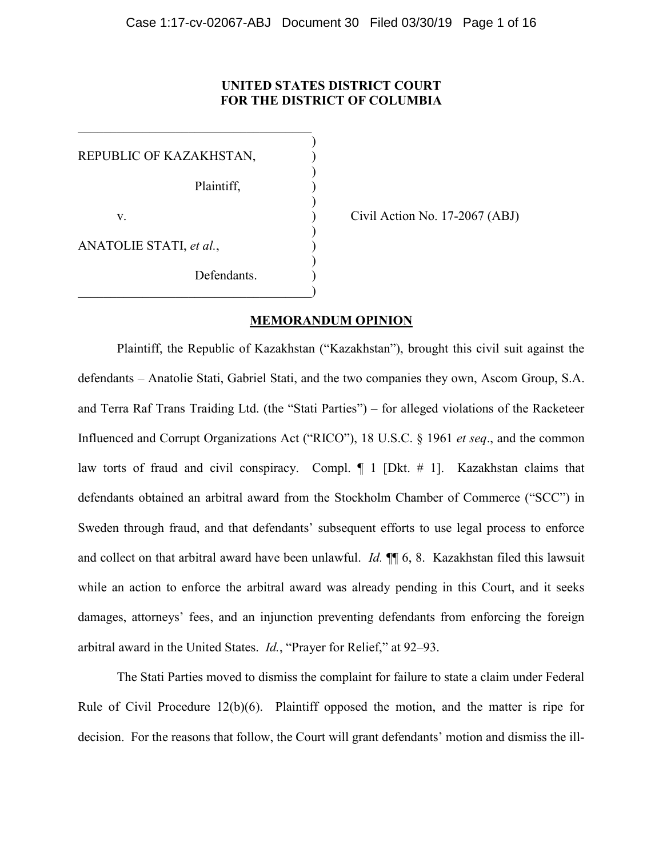# **UNITED STATES DISTRICT COURT FOR THE DISTRICT OF COLUMBIA**

)

)

)

)

)

REPUBLIC OF KAZAKHSTAN, Plaintiff, ) v. ) Civil Action No. 17-2067 (ABJ) ANATOLIE STATI, *et al.*, ) Defendants.  $\hspace{.5em}$   $\hspace{.5em}$   $\hspace{.5em}$   $\hspace{.5em}$   $\hspace{.5em}$   $\hspace{.5em}$   $\hspace{.5em}$   $\hspace{.5em}$   $\hspace{.5em}$   $\hspace{.5em}$   $\hspace{.5em}$   $\hspace{.5em}$   $\hspace{.5em}$   $\hspace{.5em}$   $\hspace{.5em}$   $\hspace{.5em}$   $\hspace{.5em}$   $\hspace{.5em}$   $\hspace{.5em}$   $\hspace{.5em}$ 

 $\overline{\mathcal{L}}$  , and the state of the state of the state of the state of the state of the state of the state of the state of the state of the state of the state of the state of the state of the state of the state of the stat

# **MEMORANDUM OPINION**

Plaintiff, the Republic of Kazakhstan ("Kazakhstan"), brought this civil suit against the defendants – Anatolie Stati, Gabriel Stati, and the two companies they own, Ascom Group, S.A. and Terra Raf Trans Traiding Ltd. (the "Stati Parties") – for alleged violations of the Racketeer Influenced and Corrupt Organizations Act ("RICO"), 18 U.S.C. § 1961 *et seq*., and the common law torts of fraud and civil conspiracy. Compl. ¶ 1 [Dkt. # 1]. Kazakhstan claims that defendants obtained an arbitral award from the Stockholm Chamber of Commerce ("SCC") in Sweden through fraud, and that defendants' subsequent efforts to use legal process to enforce and collect on that arbitral award have been unlawful. *Id.* ¶¶ 6, 8. Kazakhstan filed this lawsuit while an action to enforce the arbitral award was already pending in this Court, and it seeks damages, attorneys' fees, and an injunction preventing defendants from enforcing the foreign arbitral award in the United States. *Id.*, "Prayer for Relief," at 92–93.

The Stati Parties moved to dismiss the complaint for failure to state a claim under Federal Rule of Civil Procedure 12(b)(6). Plaintiff opposed the motion, and the matter is ripe for decision. For the reasons that follow, the Court will grant defendants' motion and dismiss the ill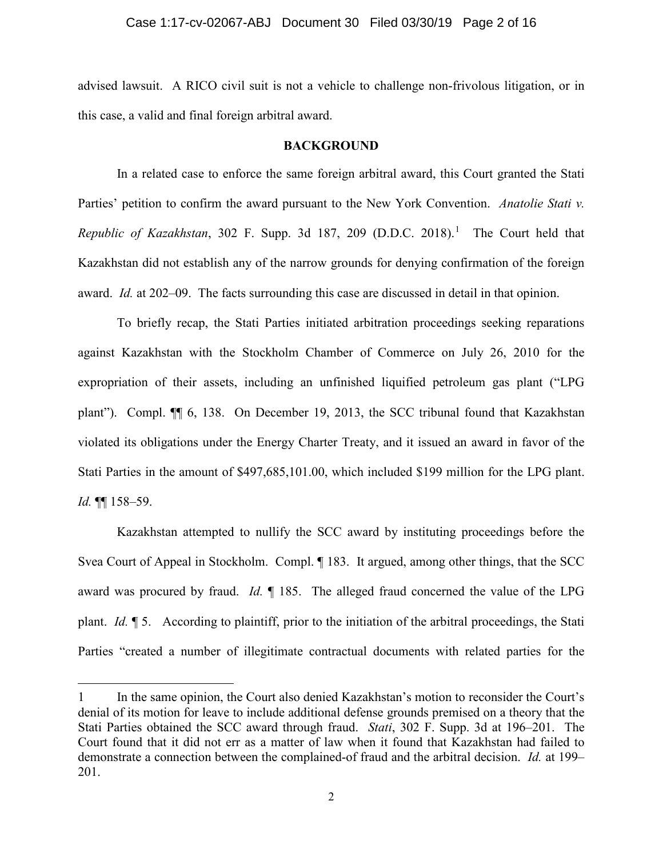advised lawsuit. A RICO civil suit is not a vehicle to challenge non-frivolous litigation, or in this case, a valid and final foreign arbitral award.

# **BACKGROUND**

In a related case to enforce the same foreign arbitral award, this Court granted the Stati Parties' petition to confirm the award pursuant to the New York Convention. *Anatolie Stati v. Republic of Kazakhstan*, 302 F. Supp. 3d 187, 209 (D.D.C. 2018). 1 The Court held that Kazakhstan did not establish any of the narrow grounds for denying confirmation of the foreign award. *Id.* at 202–09. The facts surrounding this case are discussed in detail in that opinion.

To briefly recap, the Stati Parties initiated arbitration proceedings seeking reparations against Kazakhstan with the Stockholm Chamber of Commerce on July 26, 2010 for the expropriation of their assets, including an unfinished liquified petroleum gas plant ("LPG plant"). Compl. ¶¶ 6, 138. On December 19, 2013, the SCC tribunal found that Kazakhstan violated its obligations under the Energy Charter Treaty, and it issued an award in favor of the Stati Parties in the amount of \$497,685,101.00, which included \$199 million for the LPG plant. *Id.* ¶¶ 158–59.

Kazakhstan attempted to nullify the SCC award by instituting proceedings before the Svea Court of Appeal in Stockholm. Compl. ¶ 183. It argued, among other things, that the SCC award was procured by fraud. *Id.* ¶ 185. The alleged fraud concerned the value of the LPG plant. *Id.* ¶ 5. According to plaintiff, prior to the initiation of the arbitral proceedings, the Stati Parties "created a number of illegitimate contractual documents with related parties for the

l

<sup>1</sup> In the same opinion, the Court also denied Kazakhstan's motion to reconsider the Court's denial of its motion for leave to include additional defense grounds premised on a theory that the Stati Parties obtained the SCC award through fraud. *Stati*, 302 F. Supp. 3d at 196–201.The Court found that it did not err as a matter of law when it found that Kazakhstan had failed to demonstrate a connection between the complained-of fraud and the arbitral decision. *Id.* at 199– 201.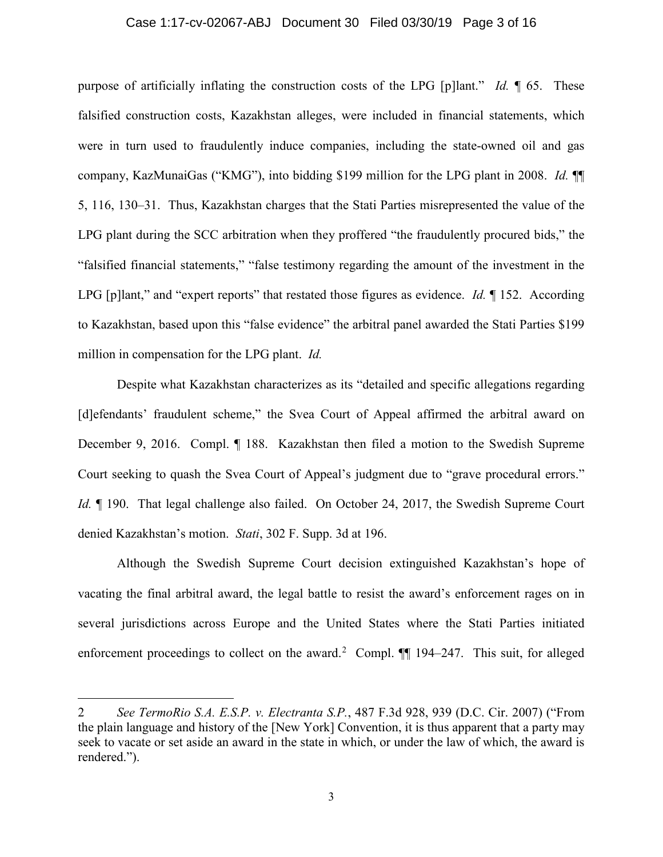#### Case 1:17-cv-02067-ABJ Document 30 Filed 03/30/19 Page 3 of 16

purpose of artificially inflating the construction costs of the LPG [p]lant." *Id.* ¶ 65. These falsified construction costs, Kazakhstan alleges, were included in financial statements, which were in turn used to fraudulently induce companies, including the state-owned oil and gas company, KazMunaiGas ("KMG"), into bidding \$199 million for the LPG plant in 2008. *Id.* ¶¶ 5, 116, 130–31. Thus, Kazakhstan charges that the Stati Parties misrepresented the value of the LPG plant during the SCC arbitration when they proffered "the fraudulently procured bids," the "falsified financial statements," "false testimony regarding the amount of the investment in the LPG [p]lant," and "expert reports" that restated those figures as evidence. *Id.* ¶ 152. According to Kazakhstan, based upon this "false evidence" the arbitral panel awarded the Stati Parties \$199 million in compensation for the LPG plant. *Id.*

Despite what Kazakhstan characterizes as its "detailed and specific allegations regarding [d]efendants' fraudulent scheme," the Svea Court of Appeal affirmed the arbitral award on December 9, 2016. Compl. ¶ 188. Kazakhstan then filed a motion to the Swedish Supreme Court seeking to quash the Svea Court of Appeal's judgment due to "grave procedural errors." *Id.*  $\parallel$  190. That legal challenge also failed. On October 24, 2017, the Swedish Supreme Court denied Kazakhstan's motion. *Stati*, 302 F. Supp. 3d at 196.

Although the Swedish Supreme Court decision extinguished Kazakhstan's hope of vacating the final arbitral award, the legal battle to resist the award's enforcement rages on in several jurisdictions across Europe and the United States where the Stati Parties initiated enforcement proceedings to collect on the award.<sup>2</sup> Compl.  $\P\P$  194–247. This suit, for alleged

 $\overline{a}$ 

<sup>2</sup> *See TermoRio S.A. E.S.P. v. Electranta S.P.*, 487 F.3d 928, 939 (D.C. Cir. 2007) ("From the plain language and history of the [New York] Convention, it is thus apparent that a party may seek to vacate or set aside an award in the state in which, or under the law of which, the award is rendered.").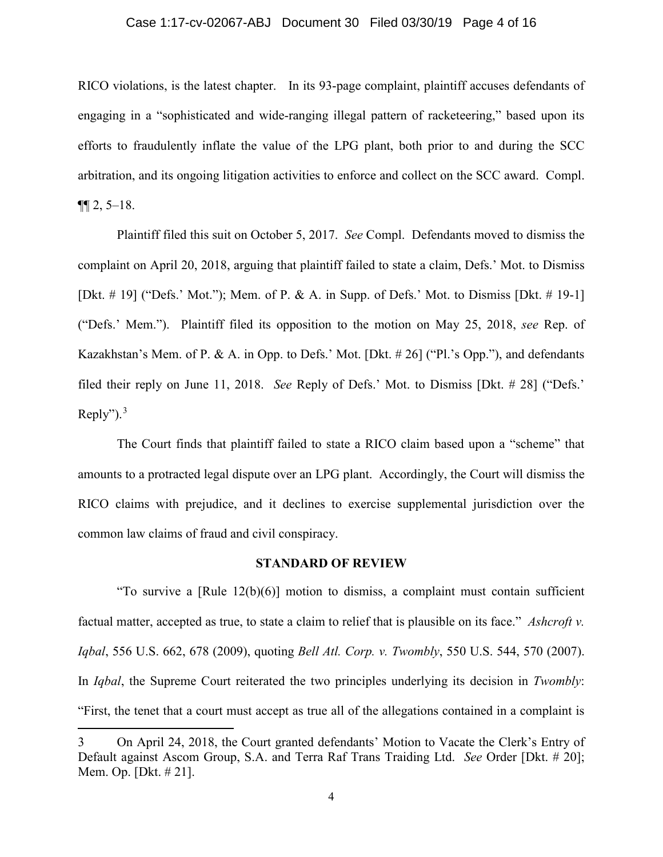# Case 1:17-cv-02067-ABJ Document 30 Filed 03/30/19 Page 4 of 16

RICO violations, is the latest chapter. In its 93-page complaint, plaintiff accuses defendants of engaging in a "sophisticated and wide-ranging illegal pattern of racketeering," based upon its efforts to fraudulently inflate the value of the LPG plant, both prior to and during the SCC arbitration, and its ongoing litigation activities to enforce and collect on the SCC award. Compl.  $\P\P 2, 5-18.$ 

Plaintiff filed this suit on October 5, 2017. *See* Compl. Defendants moved to dismiss the complaint on April 20, 2018, arguing that plaintiff failed to state a claim, Defs.' Mot. to Dismiss [Dkt.  $\#$  19] ("Defs.' Mot."); Mem. of P. & A. in Supp. of Defs.' Mot. to Dismiss [Dkt.  $\#$  19-1] ("Defs.' Mem."). Plaintiff filed its opposition to the motion on May 25, 2018, *see* Rep. of Kazakhstan's Mem. of P. & A. in Opp. to Defs.' Mot. [Dkt. # 26] ("Pl.'s Opp."), and defendants filed their reply on June 11, 2018. *See* Reply of Defs.' Mot. to Dismiss [Dkt. # 28] ("Defs.' Reply"). $3$ 

The Court finds that plaintiff failed to state a RICO claim based upon a "scheme" that amounts to a protracted legal dispute over an LPG plant. Accordingly, the Court will dismiss the RICO claims with prejudice, and it declines to exercise supplemental jurisdiction over the common law claims of fraud and civil conspiracy.

### **STANDARD OF REVIEW**

"To survive a  $[Rule 12(b)(6)]$  motion to dismiss, a complaint must contain sufficient factual matter, accepted as true, to state a claim to relief that is plausible on its face." *Ashcroft v. Iqbal*, 556 U.S. 662, 678 (2009), quoting *Bell Atl. Corp. v. Twombly*, 550 U.S. 544, 570 (2007). In *Iqbal*, the Supreme Court reiterated the two principles underlying its decision in *Twombly*: "First, the tenet that a court must accept as true all of the allegations contained in a complaint is

 $\overline{\phantom{a}}$ 

<sup>3</sup> On April 24, 2018, the Court granted defendants' Motion to Vacate the Clerk's Entry of Default against Ascom Group, S.A. and Terra Raf Trans Traiding Ltd. *See* Order [Dkt. # 20]; Mem. Op. [Dkt. # 21].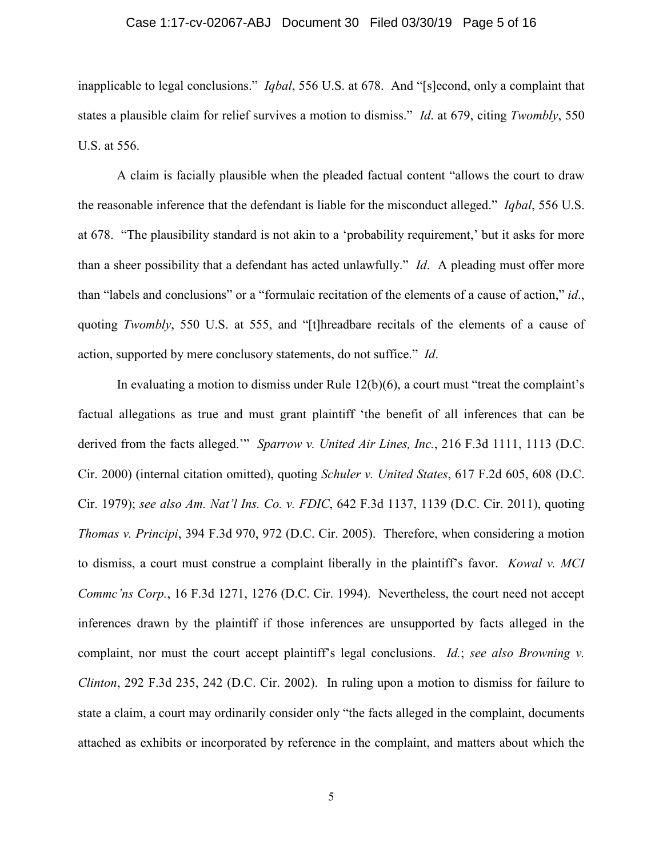## Case 1:17-cv-02067-ABJ Document 30 Filed 03/30/19 Page 5 of 16

inapplicable to legal conclusions." *Iqbal*, 556 U.S. at 678. And "[s]econd, only a complaint that states a plausible claim for relief survives a motion to dismiss." *Id*. at 679, citing *Twombly*, 550 U.S. at 556.

A claim is facially plausible when the pleaded factual content "allows the court to draw the reasonable inference that the defendant is liable for the misconduct alleged." *Iqbal*, 556 U.S. at 678. "The plausibility standard is not akin to a 'probability requirement,' but it asks for more than a sheer possibility that a defendant has acted unlawfully." *Id*. A pleading must offer more than "labels and conclusions" or a "formulaic recitation of the elements of a cause of action," *id*., quoting *Twombly*, 550 U.S. at 555, and "[t]hreadbare recitals of the elements of a cause of action, supported by mere conclusory statements, do not suffice." *Id*.

In evaluating a motion to dismiss under Rule 12(b)(6), a court must "treat the complaint's factual allegations as true and must grant plaintiff 'the benefit of all inferences that can be derived from the facts alleged.'" *Sparrow v. United Air Lines, Inc.*, 216 F.3d 1111, 1113 (D.C. Cir. 2000) (internal citation omitted), quoting *Schuler v. United States*, 617 F.2d 605, 608 (D.C. Cir. 1979); *see also Am. Nat'l Ins. Co. v. FDIC*, 642 F.3d 1137, 1139 (D.C. Cir. 2011), quoting *Thomas v. Principi*, 394 F.3d 970, 972 (D.C. Cir. 2005). Therefore, when considering a motion to dismiss, a court must construe a complaint liberally in the plaintiff's favor. *Kowal v. MCI Commc'ns Corp.*, 16 F.3d 1271, 1276 (D.C. Cir. 1994). Nevertheless, the court need not accept inferences drawn by the plaintiff if those inferences are unsupported by facts alleged in the complaint, nor must the court accept plaintiff's legal conclusions. *Id.*; *see also Browning v. Clinton*, 292 F.3d 235, 242 (D.C. Cir. 2002). In ruling upon a motion to dismiss for failure to state a claim, a court may ordinarily consider only "the facts alleged in the complaint, documents attached as exhibits or incorporated by reference in the complaint, and matters about which the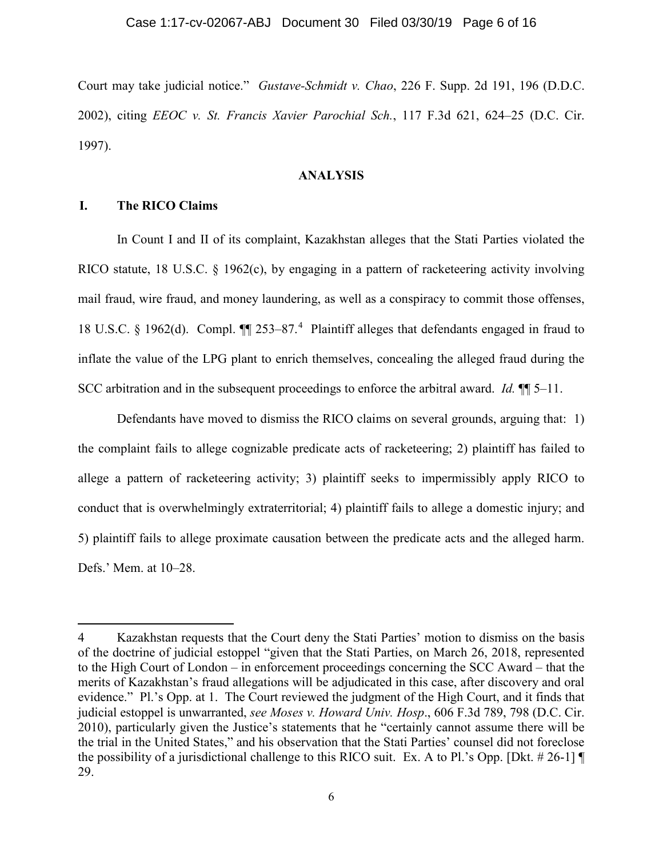#### Case 1:17-cv-02067-ABJ Document 30 Filed 03/30/19 Page 6 of 16

Court may take judicial notice." *Gustave-Schmidt v. Chao*, 226 F. Supp. 2d 191, 196 (D.D.C. 2002), citing *EEOC v. St. Francis Xavier Parochial Sch.*, 117 F.3d 621, 624–25 (D.C. Cir. 1997).

# **ANALYSIS**

# **I. The RICO Claims**

 $\overline{a}$ 

In Count I and II of its complaint, Kazakhstan alleges that the Stati Parties violated the RICO statute, 18 U.S.C. § 1962(c), by engaging in a pattern of racketeering activity involving mail fraud, wire fraud, and money laundering, as well as a conspiracy to commit those offenses, 18 U.S.C. § 1962(d). Compl. II 253-87.<sup>4</sup> Plaintiff alleges that defendants engaged in fraud to inflate the value of the LPG plant to enrich themselves, concealing the alleged fraud during the SCC arbitration and in the subsequent proceedings to enforce the arbitral award. *Id.* ¶¶ 5–11.

Defendants have moved to dismiss the RICO claims on several grounds, arguing that: 1) the complaint fails to allege cognizable predicate acts of racketeering; 2) plaintiff has failed to allege a pattern of racketeering activity; 3) plaintiff seeks to impermissibly apply RICO to conduct that is overwhelmingly extraterritorial; 4) plaintiff fails to allege a domestic injury; and 5) plaintiff fails to allege proximate causation between the predicate acts and the alleged harm. Defs.' Mem. at 10–28.

<sup>4</sup> Kazakhstan requests that the Court deny the Stati Parties' motion to dismiss on the basis of the doctrine of judicial estoppel "given that the Stati Parties, on March 26, 2018, represented to the High Court of London – in enforcement proceedings concerning the SCC Award – that the merits of Kazakhstan's fraud allegations will be adjudicated in this case, after discovery and oral evidence." Pl.'s Opp. at 1. The Court reviewed the judgment of the High Court, and it finds that judicial estoppel is unwarranted, *see Moses v. Howard Univ. Hosp*., 606 F.3d 789, 798 (D.C. Cir. 2010), particularly given the Justice's statements that he "certainly cannot assume there will be the trial in the United States," and his observation that the Stati Parties' counsel did not foreclose the possibility of a jurisdictional challenge to this RICO suit. Ex. A to Pl.'s Opp. [Dkt. # 26-1] 29.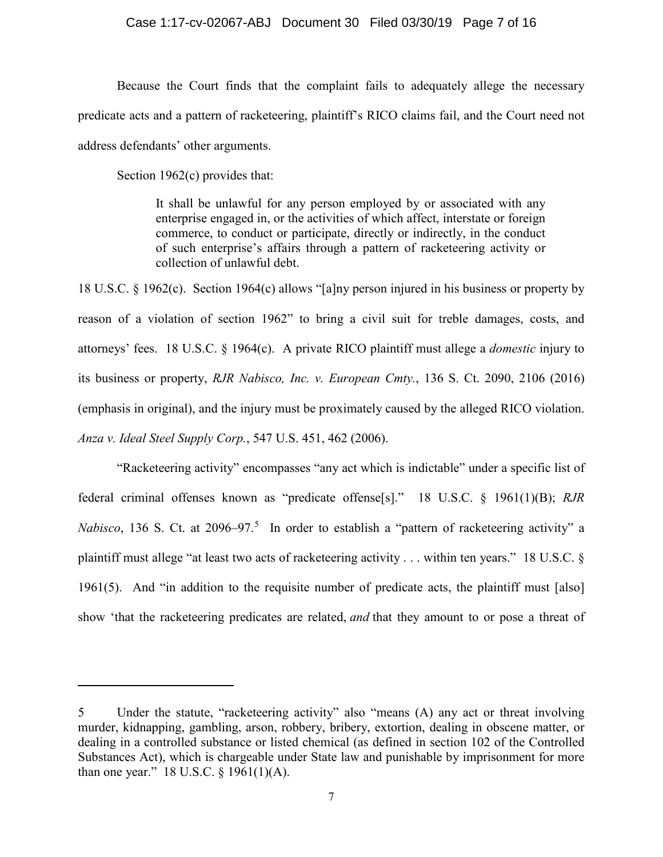### Case 1:17-cv-02067-ABJ Document 30 Filed 03/30/19 Page 7 of 16

Because the Court finds that the complaint fails to adequately allege the necessary predicate acts and a pattern of racketeering, plaintiff's RICO claims fail, and the Court need not address defendants' other arguments.

Section 1962(c) provides that:

 $\overline{a}$ 

It shall be unlawful for any person employed by or associated with any enterprise engaged in, or the activities of which affect, interstate or foreign commerce, to conduct or participate, directly or indirectly, in the conduct of such enterprise's affairs through a pattern of racketeering activity or collection of unlawful debt.

18 U.S.C. § 1962(c). Section 1964(c) allows "[a]ny person injured in his business or property by reason of a violation of section 1962" to bring a civil suit for treble damages, costs, and attorneys' fees. 18 U.S.C. § 1964(c). A private RICO plaintiff must allege a *domestic* injury to its business or property, *RJR Nabisco, Inc. v. European Cmty.*, 136 S. Ct. 2090, 2106 (2016) (emphasis in original), and the injury must be proximately caused by the alleged RICO violation. *Anza v. Ideal Steel Supply Corp.*, 547 U.S. 451, 462 (2006).

"Racketeering activity" encompasses "any act which is indictable" under a specific list of federal criminal offenses known as "predicate offense[s]." 18 U.S.C. § 1961(1)(B); *RJR*  Nabisco, 136 S. Ct. at 2096–97.<sup>5</sup> In order to establish a "pattern of racketeering activity" a plaintiff must allege "at least two acts of racketeering activity . . . within ten years." 18 U.S.C. § 1961(5). And "in addition to the requisite number of predicate acts, the plaintiff must [also] show 'that the racketeering predicates are related, *and* that they amount to or pose a threat of

<sup>5</sup> Under the statute, "racketeering activity" also "means (A) any act or threat involving murder, kidnapping, gambling, arson, robbery, bribery, extortion, dealing in obscene matter, or dealing in a controlled substance or listed chemical (as defined in section 102 of the Controlled Substances Act), which is chargeable under State law and punishable by imprisonment for more than one year."  $18$  U.S.C.  $\S$  1961(1)(A).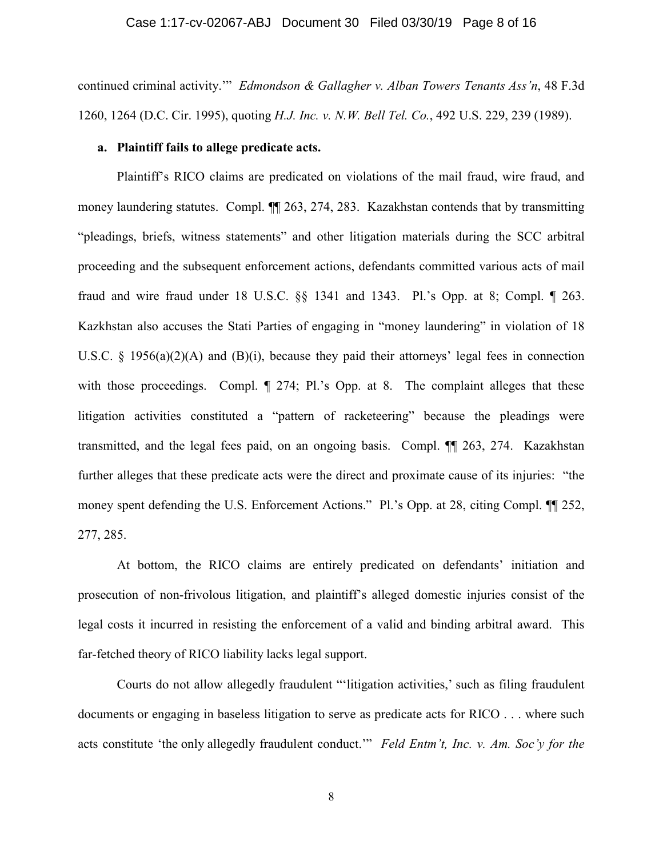## Case 1:17-cv-02067-ABJ Document 30 Filed 03/30/19 Page 8 of 16

continued criminal activity.'" *Edmondson & Gallagher v. Alban Towers Tenants Ass'n*, 48 F.3d 1260, 1264 (D.C. Cir. 1995), quoting *H.J. Inc. v. N.W. Bell Tel. Co.*, 492 U.S. 229, 239 (1989).

#### **a. Plaintiff fails to allege predicate acts.**

Plaintiff's RICO claims are predicated on violations of the mail fraud, wire fraud, and money laundering statutes. Compl. ¶¶ 263, 274, 283. Kazakhstan contends that by transmitting "pleadings, briefs, witness statements" and other litigation materials during the SCC arbitral proceeding and the subsequent enforcement actions, defendants committed various acts of mail fraud and wire fraud under 18 U.S.C. §§ 1341 and 1343. Pl.'s Opp. at 8; Compl. ¶ 263. Kazkhstan also accuses the Stati Parties of engaging in "money laundering" in violation of 18 U.S.C.  $\S$  1956(a)(2)(A) and (B)(i), because they paid their attorneys' legal fees in connection with those proceedings. Compl.  $\parallel$  274; Pl.'s Opp. at 8. The complaint alleges that these litigation activities constituted a "pattern of racketeering" because the pleadings were transmitted, and the legal fees paid, on an ongoing basis. Compl. ¶¶ 263, 274. Kazakhstan further alleges that these predicate acts were the direct and proximate cause of its injuries: "the money spent defending the U.S. Enforcement Actions." Pl.'s Opp. at 28, citing Compl.  $\P$  252, 277, 285.

At bottom, the RICO claims are entirely predicated on defendants' initiation and prosecution of non-frivolous litigation, and plaintiff's alleged domestic injuries consist of the legal costs it incurred in resisting the enforcement of a valid and binding arbitral award. This far-fetched theory of RICO liability lacks legal support.

Courts do not allow allegedly fraudulent "'litigation activities,' such as filing fraudulent documents or engaging in baseless litigation to serve as predicate acts for RICO . . . where such acts constitute 'the only allegedly fraudulent conduct.'" *Feld Entm't, Inc. v. Am. Soc'y for the*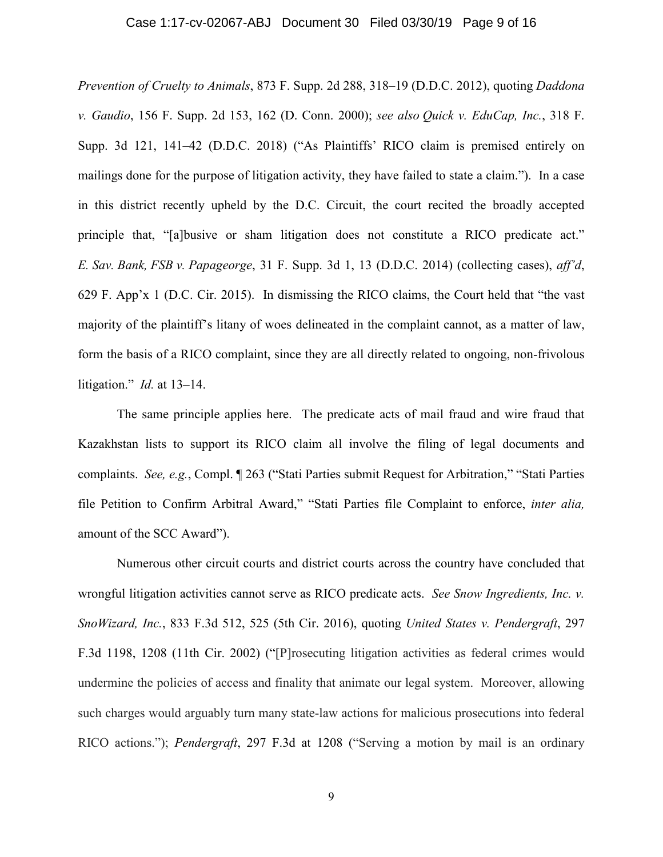## Case 1:17-cv-02067-ABJ Document 30 Filed 03/30/19 Page 9 of 16

*Prevention of Cruelty to Animals*, 873 F. Supp. 2d 288, 318–19 (D.D.C. 2012), quoting *Daddona v. Gaudio*, 156 F. Supp. 2d 153, 162 (D. Conn. 2000); *see also Quick v. EduCap, Inc.*, 318 F. Supp. 3d 121, 141–42 (D.D.C. 2018) ("As Plaintiffs' RICO claim is premised entirely on mailings done for the purpose of litigation activity, they have failed to state a claim."). In a case in this district recently upheld by the D.C. Circuit, the court recited the broadly accepted principle that, "[a]busive or sham litigation does not constitute a RICO predicate act." *E. Sav. Bank, FSB v. Papageorge*, 31 F. Supp. 3d 1, 13 (D.D.C. 2014) (collecting cases), *aff'd*, 629 F. App'x 1 (D.C. Cir. 2015). In dismissing the RICO claims, the Court held that "the vast majority of the plaintiff's litany of woes delineated in the complaint cannot, as a matter of law, form the basis of a RICO complaint, since they are all directly related to ongoing, non-frivolous litigation." *Id.* at 13–14.

The same principle applies here. The predicate acts of mail fraud and wire fraud that Kazakhstan lists to support its RICO claim all involve the filing of legal documents and complaints. *See, e.g.*, Compl. ¶ 263 ("Stati Parties submit Request for Arbitration," "Stati Parties file Petition to Confirm Arbitral Award," "Stati Parties file Complaint to enforce, *inter alia,* amount of the SCC Award").

Numerous other circuit courts and district courts across the country have concluded that wrongful litigation activities cannot serve as RICO predicate acts. *See Snow Ingredients, Inc. v. SnoWizard, Inc.*, 833 F.3d 512, 525 (5th Cir. 2016), quoting *United States v. Pendergraft*, 297 F.3d 1198, 1208 (11th Cir. 2002) ("[P]rosecuting litigation activities as federal crimes would undermine the policies of access and finality that animate our legal system. Moreover, allowing such charges would arguably turn many state-law actions for malicious prosecutions into federal RICO actions."); *Pendergraft*, 297 F.3d at 1208 ("Serving a motion by mail is an ordinary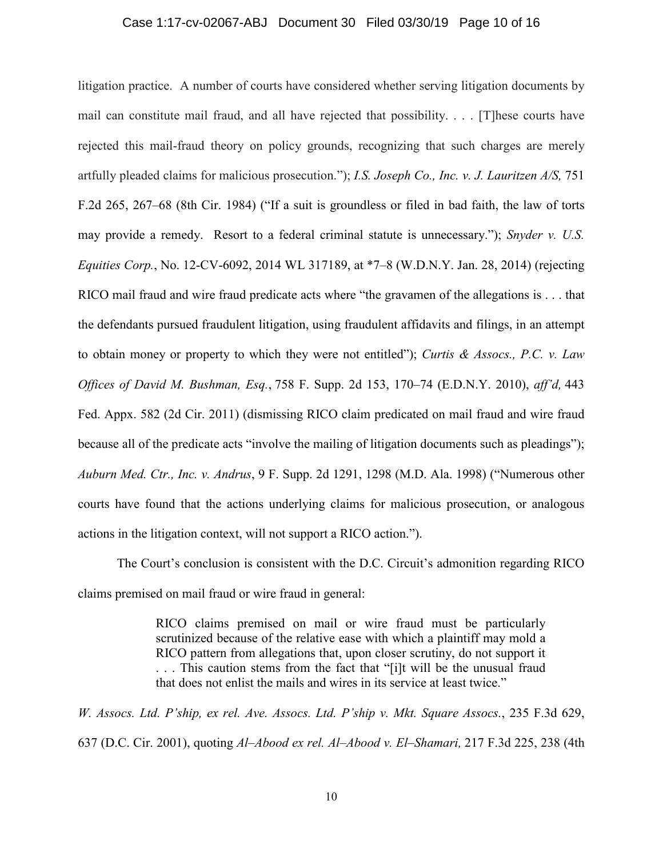#### Case 1:17-cv-02067-ABJ Document 30 Filed 03/30/19 Page 10 of 16

litigation practice. A number of courts have considered whether serving litigation documents by mail can constitute mail fraud, and all have rejected that possibility. . . . [T]hese courts have rejected this mail-fraud theory on policy grounds, recognizing that such charges are merely artfully pleaded claims for malicious prosecution."); *I.S. Joseph Co., Inc. v. J. Lauritzen A/S,* 751 F.2d 265, 267–68 (8th Cir. 1984) ("If a suit is groundless or filed in bad faith, the law of torts may provide a remedy. Resort to a federal criminal statute is unnecessary."); *Snyder v. U.S. Equities Corp.*, No. 12-CV-6092, 2014 WL 317189, at \*7–8 (W.D.N.Y. Jan. 28, 2014) (rejecting RICO mail fraud and wire fraud predicate acts where "the gravamen of the allegations is . . . that the defendants pursued fraudulent litigation, using fraudulent affidavits and filings, in an attempt to obtain money or property to which they were not entitled"); *Curtis & Assocs., P.C. v. Law Offices of David M. Bushman, Esq.*, 758 F. Supp. 2d 153, 170–74 (E.D.N.Y. 2010), *aff'd,* 443 Fed. Appx. 582 (2d Cir. 2011) (dismissing RICO claim predicated on mail fraud and wire fraud because all of the predicate acts "involve the mailing of litigation documents such as pleadings"); *Auburn Med. Ctr., Inc. v. Andrus*, 9 F. Supp. 2d 1291, 1298 (M.D. Ala. 1998) ("Numerous other courts have found that the actions underlying claims for malicious prosecution, or analogous actions in the litigation context, will not support a RICO action.").

The Court's conclusion is consistent with the D.C. Circuit's admonition regarding RICO claims premised on mail fraud or wire fraud in general:

> RICO claims premised on mail or wire fraud must be particularly scrutinized because of the relative ease with which a plaintiff may mold a RICO pattern from allegations that, upon closer scrutiny, do not support it . . . This caution stems from the fact that "[i]t will be the unusual fraud that does not enlist the mails and wires in its service at least twice."

*W. Assocs. Ltd. P'ship, ex rel. Ave. Assocs. Ltd. P'ship v. Mkt. Square Assocs.*, 235 F.3d 629, 637 (D.C. Cir. 2001), quoting *Al–Abood ex rel. Al–Abood v. El–Shamari,* 217 F.3d 225, 238 (4th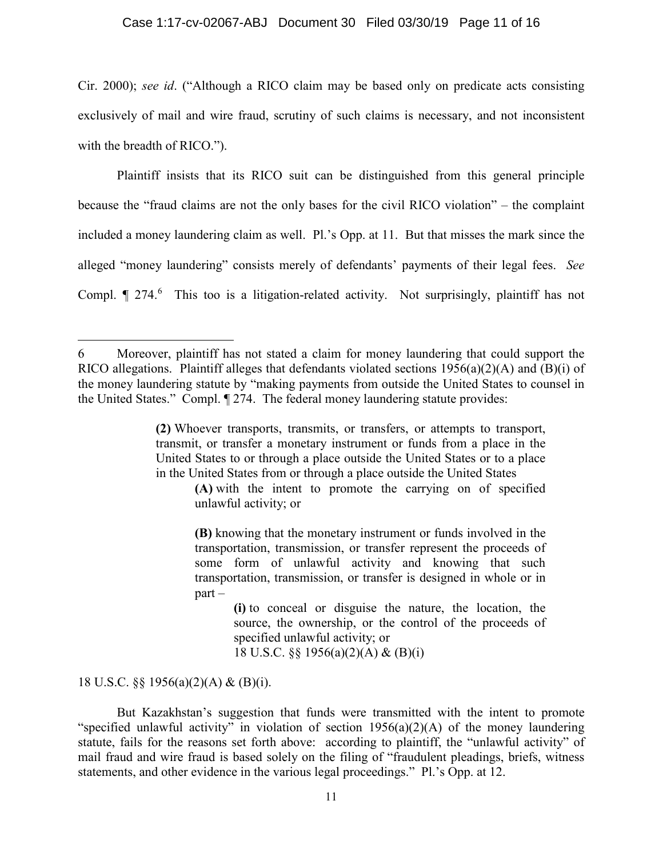### Case 1:17-cv-02067-ABJ Document 30 Filed 03/30/19 Page 11 of 16

Cir. 2000); *see id*. ("Although a RICO claim may be based only on predicate acts consisting exclusively of mail and wire fraud, scrutiny of such claims is necessary, and not inconsistent with the breadth of RICO.").

Plaintiff insists that its RICO suit can be distinguished from this general principle because the "fraud claims are not the only bases for the civil RICO violation" – the complaint included a money laundering claim as well. Pl.'s Opp. at 11. But that misses the mark since the alleged "money laundering" consists merely of defendants' payments of their legal fees. *See*  Compl.  $\parallel$  274.<sup>6</sup> This too is a litigation-related activity. Not surprisingly, plaintiff has not

**(A)** with the intent to promote the carrying on of specified unlawful activity; or

**(B)** knowing that the monetary instrument or funds involved in the transportation, transmission, or transfer represent the proceeds of some form of unlawful activity and knowing that such transportation, transmission, or transfer is designed in whole or in part –

> **(i)** to conceal or disguise the nature, the location, the source, the ownership, or the control of the proceeds of specified unlawful activity; or 18 U.S.C. §§ 1956(a)(2)(A) & (B)(i)

18 U.S.C. §§ 1956(a)(2)(A) & (B)(i).

 $\overline{\phantom{a}}$ 

But Kazakhstan's suggestion that funds were transmitted with the intent to promote "specified unlawful activity" in violation of section 1956(a)(2)(A) of the money laundering statute, fails for the reasons set forth above: according to plaintiff, the "unlawful activity" of mail fraud and wire fraud is based solely on the filing of "fraudulent pleadings, briefs, witness statements, and other evidence in the various legal proceedings." Pl.'s Opp. at 12.

<sup>6</sup> Moreover, plaintiff has not stated a claim for money laundering that could support the RICO allegations. Plaintiff alleges that defendants violated sections 1956(a)(2)(A) and (B)(i) of the money laundering statute by "making payments from outside the United States to counsel in the United States." Compl. ¶ 274. The federal money laundering statute provides:

**<sup>(2)</sup>** Whoever transports, transmits, or transfers, or attempts to transport, transmit, or transfer a monetary instrument or funds from a place in the United States to or through a place outside the United States or to a place in the United States from or through a place outside the United States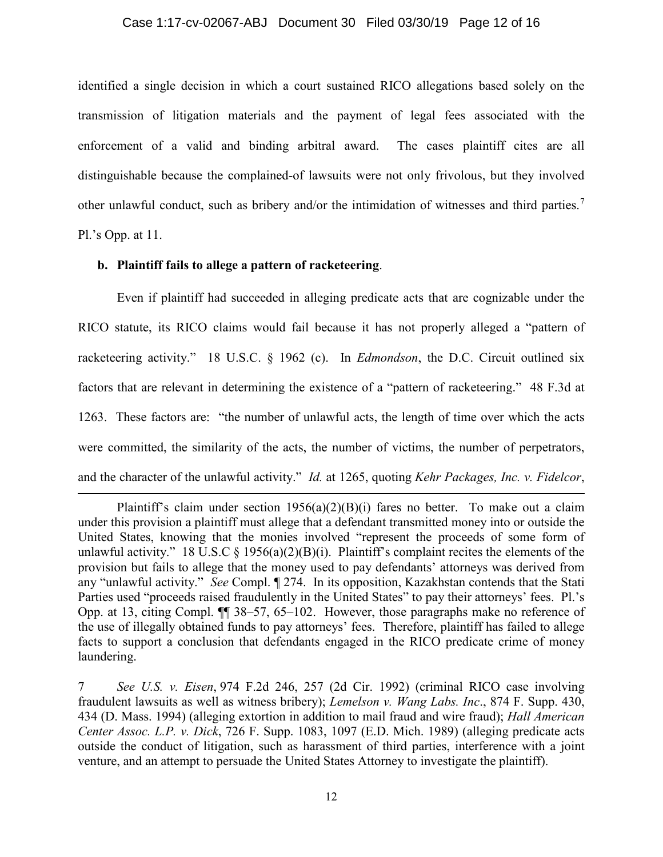#### Case 1:17-cv-02067-ABJ Document 30 Filed 03/30/19 Page 12 of 16

identified a single decision in which a court sustained RICO allegations based solely on the transmission of litigation materials and the payment of legal fees associated with the enforcement of a valid and binding arbitral award. The cases plaintiff cites are all distinguishable because the complained-of lawsuits were not only frivolous, but they involved other unlawful conduct, such as bribery and/or the intimidation of witnesses and third parties.<sup>7</sup> Pl.'s Opp. at 11.

# **b. Plaintiff fails to allege a pattern of racketeering**.

 $\overline{a}$ 

Even if plaintiff had succeeded in alleging predicate acts that are cognizable under the RICO statute, its RICO claims would fail because it has not properly alleged a "pattern of racketeering activity." 18 U.S.C. § 1962 (c). In *Edmondson*, the D.C. Circuit outlined six factors that are relevant in determining the existence of a "pattern of racketeering." 48 F.3d at 1263. These factors are: "the number of unlawful acts, the length of time over which the acts were committed, the similarity of the acts, the number of victims, the number of perpetrators, and the character of the unlawful activity." *Id.* at 1265, quoting *Kehr Packages, Inc. v. Fidelcor*,

Plaintiff's claim under section  $1956(a)(2)(B)(i)$  fares no better. To make out a claim under this provision a plaintiff must allege that a defendant transmitted money into or outside the United States, knowing that the monies involved "represent the proceeds of some form of unlawful activity." 18 U.S.C  $\S$  1956(a)(2)(B)(i). Plaintiff's complaint recites the elements of the provision but fails to allege that the money used to pay defendants' attorneys was derived from any "unlawful activity." *See* Compl. ¶ 274. In its opposition, Kazakhstan contends that the Stati Parties used "proceeds raised fraudulently in the United States" to pay their attorneys' fees. Pl.'s Opp. at 13, citing Compl. ¶¶ 38–57, 65–102. However, those paragraphs make no reference of the use of illegally obtained funds to pay attorneys' fees. Therefore, plaintiff has failed to allege facts to support a conclusion that defendants engaged in the RICO predicate crime of money laundering.

<sup>7</sup> *See U.S. v. Eisen*, 974 F.2d 246, 257 (2d Cir. 1992) (criminal RICO case involving fraudulent lawsuits as well as witness bribery); *Lemelson v. Wang Labs. Inc*., 874 F. Supp. 430, 434 (D. Mass. 1994) (alleging extortion in addition to mail fraud and wire fraud); *Hall American Center Assoc. L.P. v. Dick*, 726 F. Supp. 1083, 1097 (E.D. Mich. 1989) (alleging predicate acts outside the conduct of litigation, such as harassment of third parties, interference with a joint venture, and an attempt to persuade the United States Attorney to investigate the plaintiff).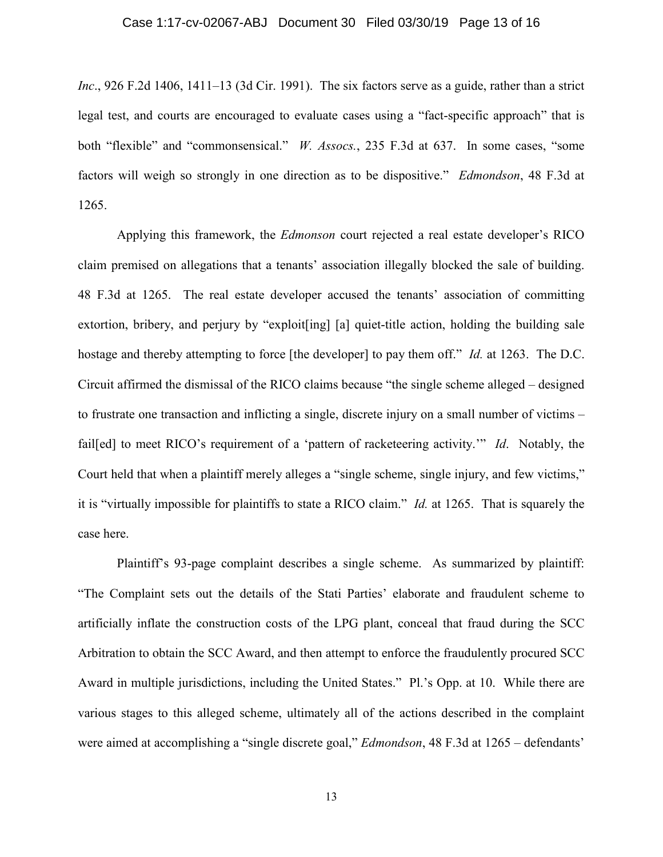# Case 1:17-cv-02067-ABJ Document 30 Filed 03/30/19 Page 13 of 16

*Inc*., 926 F.2d 1406, 1411–13 (3d Cir. 1991). The six factors serve as a guide, rather than a strict legal test, and courts are encouraged to evaluate cases using a "fact-specific approach" that is both "flexible" and "commonsensical." *W. Assocs.*, 235 F.3d at 637. In some cases, "some factors will weigh so strongly in one direction as to be dispositive." *Edmondson*, 48 F.3d at 1265.

Applying this framework, the *Edmonson* court rejected a real estate developer's RICO claim premised on allegations that a tenants' association illegally blocked the sale of building. 48 F.3d at 1265. The real estate developer accused the tenants' association of committing extortion, bribery, and perjury by "exploit[ing] [a] quiet-title action, holding the building sale hostage and thereby attempting to force [the developer] to pay them off." *Id.* at 1263. The D.C. Circuit affirmed the dismissal of the RICO claims because "the single scheme alleged – designed to frustrate one transaction and inflicting a single, discrete injury on a small number of victims – fail[ed] to meet RICO's requirement of a 'pattern of racketeering activity.'" *Id*. Notably, the Court held that when a plaintiff merely alleges a "single scheme, single injury, and few victims," it is "virtually impossible for plaintiffs to state a RICO claim." *Id.* at 1265. That is squarely the case here.

Plaintiff's 93-page complaint describes a single scheme. As summarized by plaintiff: "The Complaint sets out the details of the Stati Parties' elaborate and fraudulent scheme to artificially inflate the construction costs of the LPG plant, conceal that fraud during the SCC Arbitration to obtain the SCC Award, and then attempt to enforce the fraudulently procured SCC Award in multiple jurisdictions, including the United States." Pl.'s Opp. at 10. While there are various stages to this alleged scheme, ultimately all of the actions described in the complaint were aimed at accomplishing a "single discrete goal," *Edmondson*, 48 F.3d at 1265 – defendants'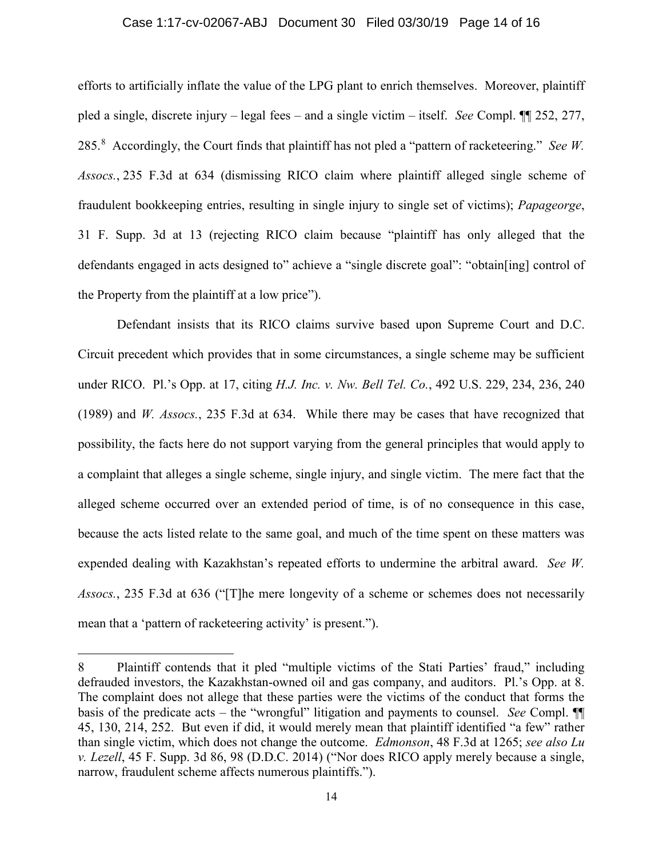#### Case 1:17-cv-02067-ABJ Document 30 Filed 03/30/19 Page 14 of 16

efforts to artificially inflate the value of the LPG plant to enrich themselves. Moreover, plaintiff pled a single, discrete injury – legal fees – and a single victim – itself. *See* Compl. ¶¶ 252, 277, 285. 8 Accordingly, the Court finds that plaintiff has not pled a "pattern of racketeering." *See W. Assocs.*, 235 F.3d at 634 (dismissing RICO claim where plaintiff alleged single scheme of fraudulent bookkeeping entries, resulting in single injury to single set of victims); *Papageorge*, 31 F. Supp. 3d at 13 (rejecting RICO claim because "plaintiff has only alleged that the defendants engaged in acts designed to" achieve a "single discrete goal": "obtain[ing] control of the Property from the plaintiff at a low price").

Defendant insists that its RICO claims survive based upon Supreme Court and D.C. Circuit precedent which provides that in some circumstances, a single scheme may be sufficient under RICO. Pl.'s Opp. at 17, citing *H.J. Inc. v. Nw. Bell Tel. Co.*, 492 U.S. 229, 234, 236, 240 (1989) and *W. Assocs.*, 235 F.3d at 634. While there may be cases that have recognized that possibility, the facts here do not support varying from the general principles that would apply to a complaint that alleges a single scheme, single injury, and single victim. The mere fact that the alleged scheme occurred over an extended period of time, is of no consequence in this case, because the acts listed relate to the same goal, and much of the time spent on these matters was expended dealing with Kazakhstan's repeated efforts to undermine the arbitral award. *See W. Assocs.*, 235 F.3d at 636 ("[T]he mere longevity of a scheme or schemes does not necessarily mean that a 'pattern of racketeering activity' is present.").

 $\overline{\phantom{a}}$ 

<sup>8</sup> Plaintiff contends that it pled "multiple victims of the Stati Parties' fraud," including defrauded investors, the Kazakhstan-owned oil and gas company, and auditors. Pl.'s Opp. at 8. The complaint does not allege that these parties were the victims of the conduct that forms the basis of the predicate acts – the "wrongful" litigation and payments to counsel. *See* Compl. ¶¶ 45, 130, 214, 252. But even if did, it would merely mean that plaintiff identified "a few" rather than single victim, which does not change the outcome. *Edmonson*, 48 F.3d at 1265; *see also Lu v. Lezell*, 45 F. Supp. 3d 86, 98 (D.D.C. 2014) ("Nor does RICO apply merely because a single, narrow, fraudulent scheme affects numerous plaintiffs.").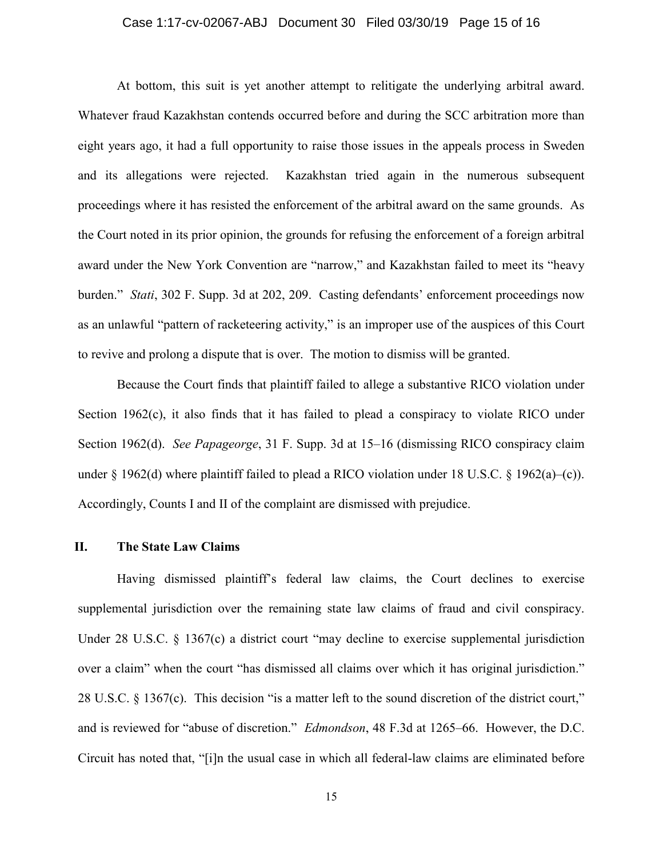## Case 1:17-cv-02067-ABJ Document 30 Filed 03/30/19 Page 15 of 16

At bottom, this suit is yet another attempt to relitigate the underlying arbitral award. Whatever fraud Kazakhstan contends occurred before and during the SCC arbitration more than eight years ago, it had a full opportunity to raise those issues in the appeals process in Sweden and its allegations were rejected. Kazakhstan tried again in the numerous subsequent proceedings where it has resisted the enforcement of the arbitral award on the same grounds. As the Court noted in its prior opinion, the grounds for refusing the enforcement of a foreign arbitral award under the New York Convention are "narrow," and Kazakhstan failed to meet its "heavy burden." *Stati*, 302 F. Supp. 3d at 202, 209. Casting defendants' enforcement proceedings now as an unlawful "pattern of racketeering activity," is an improper use of the auspices of this Court to revive and prolong a dispute that is over. The motion to dismiss will be granted.

Because the Court finds that plaintiff failed to allege a substantive RICO violation under Section 1962(c), it also finds that it has failed to plead a conspiracy to violate RICO under Section 1962(d). *See Papageorge*, 31 F. Supp. 3d at 15–16 (dismissing RICO conspiracy claim under § 1962(d) where plaintiff failed to plead a RICO violation under 18 U.S.C. § 1962(a)–(c)). Accordingly, Counts I and II of the complaint are dismissed with prejudice.

# **II. The State Law Claims**

Having dismissed plaintiff's federal law claims, the Court declines to exercise supplemental jurisdiction over the remaining state law claims of fraud and civil conspiracy. Under 28 U.S.C. § 1367(c) a district court "may decline to exercise supplemental jurisdiction over a claim" when the court "has dismissed all claims over which it has original jurisdiction." 28 U.S.C. § 1367(c). This decision "is a matter left to the sound discretion of the district court," and is reviewed for "abuse of discretion." *Edmondson*, 48 F.3d at 1265–66. However, the D.C. Circuit has noted that, "[i]n the usual case in which all federal-law claims are eliminated before